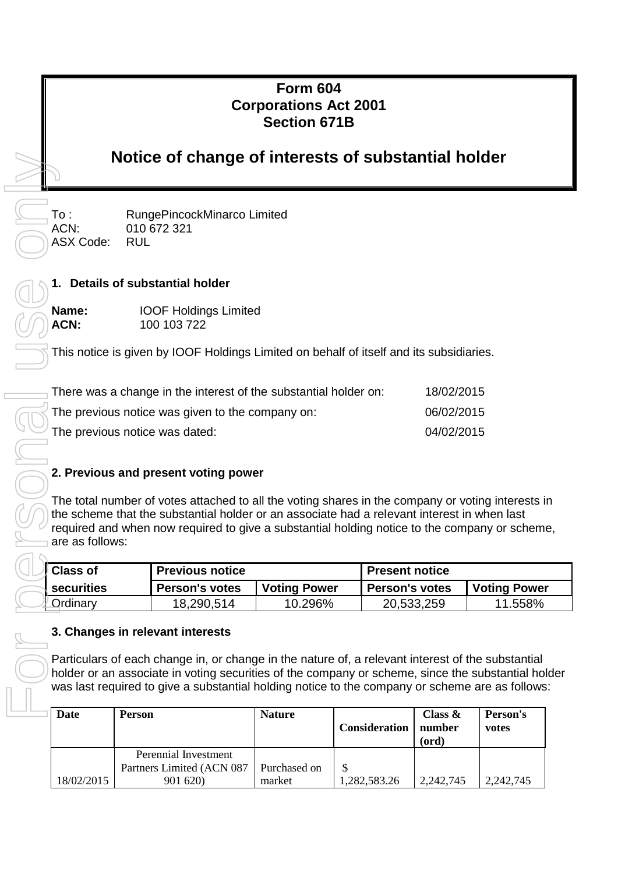# **Form 604 Corporations Act 2001 Section 671B**

# **Notice of change of interests of substantial holder**

ASX Code: RUL

To : RungePincockMinarco Limited ACN: 010 672 321

# **1. Details of substantial holder**

**Name:** IOOF Holdings Limited **ACN:** 100 103 722

This notice is given by IOOF Holdings Limited on behalf of itself and its subsidiaries.

| There was a change in the interest of the substantial holder on: | 18/02/2015 |
|------------------------------------------------------------------|------------|
| The previous notice was given to the company on:                 | 06/02/2015 |
| The previous notice was dated:                                   | 04/02/2015 |

# **2. Previous and present voting power**

The total number of votes attached to all the voting shares in the company or voting interests in the scheme that the substantial holder or an associate had a relevant interest in when last required and when now required to give a substantial holding notice to the company or scheme, are as follows:

| <b>Class of</b> | <b>Previous notice</b> |                     | <b>Present notice</b> |                     |  |
|-----------------|------------------------|---------------------|-----------------------|---------------------|--|
| I securities    | <b>Person's votes</b>  | <b>Voting Power</b> | <b>Person's votes</b> | <b>Voting Power</b> |  |
| <b>Crdinary</b> | 18,290,514             | 10.296%             | 20,533,259            | 11.558%             |  |

#### **3. Changes in relevant interests**

Particulars of each change in, or change in the nature of, a relevant interest of the substantial holder or an associate in voting securities of the company or scheme, since the substantial holder was last required to give a substantial holding notice to the company or scheme are as follows:

| Date       | <b>Person</b>             | <b>Nature</b> | <b>Consideration</b> | Class $\&$<br>number<br>(ord) | Person's<br>votes |
|------------|---------------------------|---------------|----------------------|-------------------------------|-------------------|
|            | Perennial Investment      |               |                      |                               |                   |
|            | Partners Limited (ACN 087 | Purchased on  |                      |                               |                   |
| 18/02/2015 | 901 620)                  | market        | 1,282,583.26         | 2,242,745                     | 2,242,745         |